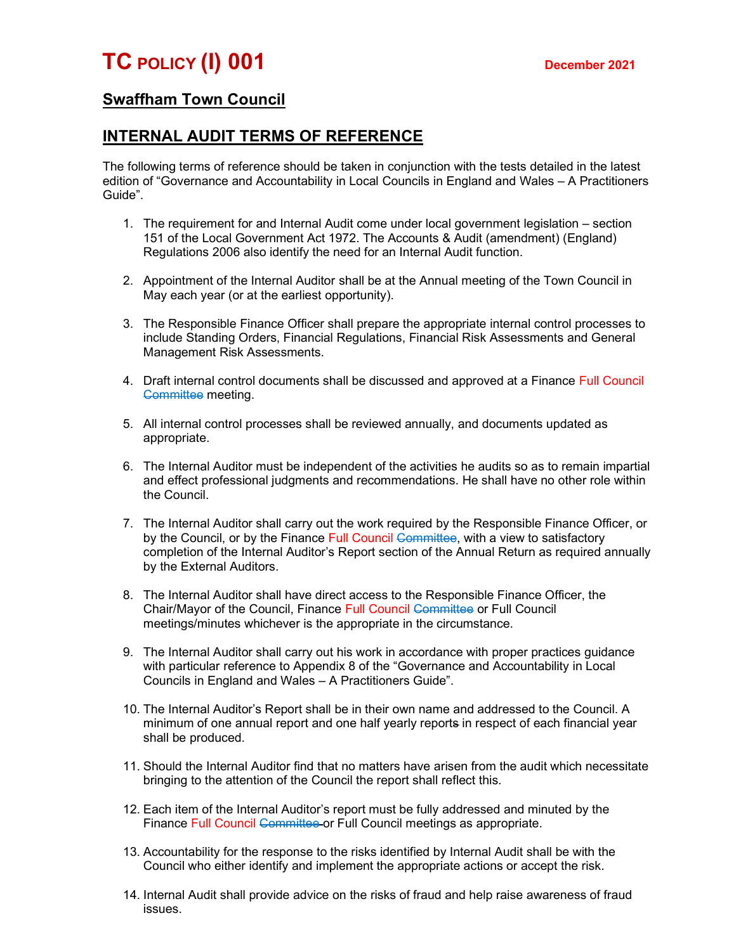## Swaffham Town Council

## INTERNAL AUDIT TERMS OF REFERENCE

The following terms of reference should be taken in conjunction with the tests detailed in the latest edition of "Governance and Accountability in Local Councils in England and Wales – A Practitioners Guide".

- 1. The requirement for and Internal Audit come under local government legislation section 151 of the Local Government Act 1972. The Accounts & Audit (amendment) (England) Regulations 2006 also identify the need for an Internal Audit function.
- 2. Appointment of the Internal Auditor shall be at the Annual meeting of the Town Council in May each year (or at the earliest opportunity).
- 3. The Responsible Finance Officer shall prepare the appropriate internal control processes to include Standing Orders, Financial Regulations, Financial Risk Assessments and General Management Risk Assessments.
- 4. Draft internal control documents shall be discussed and approved at a Finance Full Council Committee meeting.
- 5. All internal control processes shall be reviewed annually, and documents updated as appropriate.
- 6. The Internal Auditor must be independent of the activities he audits so as to remain impartial and effect professional judgments and recommendations. He shall have no other role within the Council.
- 7. The Internal Auditor shall carry out the work required by the Responsible Finance Officer, or by the Council, or by the Finance Full Council Committee, with a view to satisfactory completion of the Internal Auditor's Report section of the Annual Return as required annually by the External Auditors.
- 8. The Internal Auditor shall have direct access to the Responsible Finance Officer, the Chair/Mayor of the Council, Finance Full Council Committee or Full Council meetings/minutes whichever is the appropriate in the circumstance.
- 9. The Internal Auditor shall carry out his work in accordance with proper practices guidance with particular reference to Appendix 8 of the "Governance and Accountability in Local Councils in England and Wales – A Practitioners Guide".
- 10. The Internal Auditor's Report shall be in their own name and addressed to the Council. A minimum of one annual report and one half yearly reports in respect of each financial year shall be produced.
- 11. Should the Internal Auditor find that no matters have arisen from the audit which necessitate bringing to the attention of the Council the report shall reflect this.
- 12. Each item of the Internal Auditor's report must be fully addressed and minuted by the Finance Full Council Committee or Full Council meetings as appropriate.
- 13. Accountability for the response to the risks identified by Internal Audit shall be with the Council who either identify and implement the appropriate actions or accept the risk.
- 14. Internal Audit shall provide advice on the risks of fraud and help raise awareness of fraud issues.